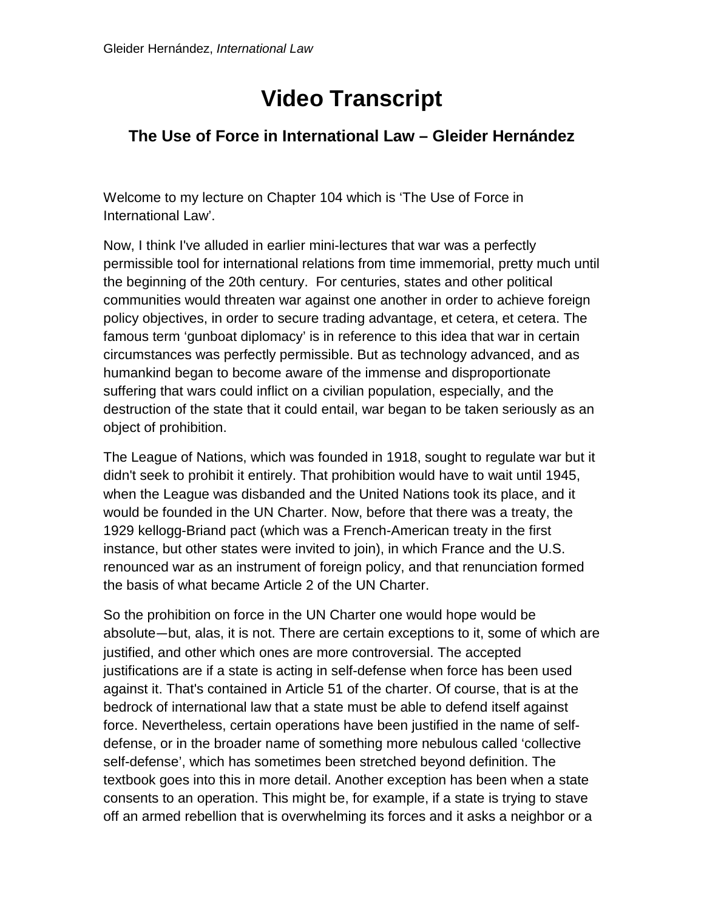## **Video Transcript**

## **The Use of Force in International Law – Gleider Hernández**

Welcome to my lecture on Chapter 104 which is 'The Use of Force in International Law'.

Now, I think I've alluded in earlier mini-lectures that war was a perfectly permissible tool for international relations from time immemorial, pretty much until the beginning of the 20th century. For centuries, states and other political communities would threaten war against one another in order to achieve foreign policy objectives, in order to secure trading advantage, et cetera, et cetera. The famous term 'gunboat diplomacy' is in reference to this idea that war in certain circumstances was perfectly permissible. But as technology advanced, and as humankind began to become aware of the immense and disproportionate suffering that wars could inflict on a civilian population, especially, and the destruction of the state that it could entail, war began to be taken seriously as an object of prohibition.

The League of Nations, which was founded in 1918, sought to regulate war but it didn't seek to prohibit it entirely. That prohibition would have to wait until 1945, when the League was disbanded and the United Nations took its place, and it would be founded in the UN Charter. Now, before that there was a treaty, the 1929 kellogg-Briand pact (which was a French-American treaty in the first instance, but other states were invited to join), in which France and the U.S. renounced war as an instrument of foreign policy, and that renunciation formed the basis of what became Article 2 of the UN Charter.

So the prohibition on force in the UN Charter one would hope would be absolute—but, alas, it is not. There are certain exceptions to it, some of which are justified, and other which ones are more controversial. The accepted justifications are if a state is acting in self-defense when force has been used against it. That's contained in Article 51 of the charter. Of course, that is at the bedrock of international law that a state must be able to defend itself against force. Nevertheless, certain operations have been justified in the name of selfdefense, or in the broader name of something more nebulous called 'collective self-defense', which has sometimes been stretched beyond definition. The textbook goes into this in more detail. Another exception has been when a state consents to an operation. This might be, for example, if a state is trying to stave off an armed rebellion that is overwhelming its forces and it asks a neighbor or a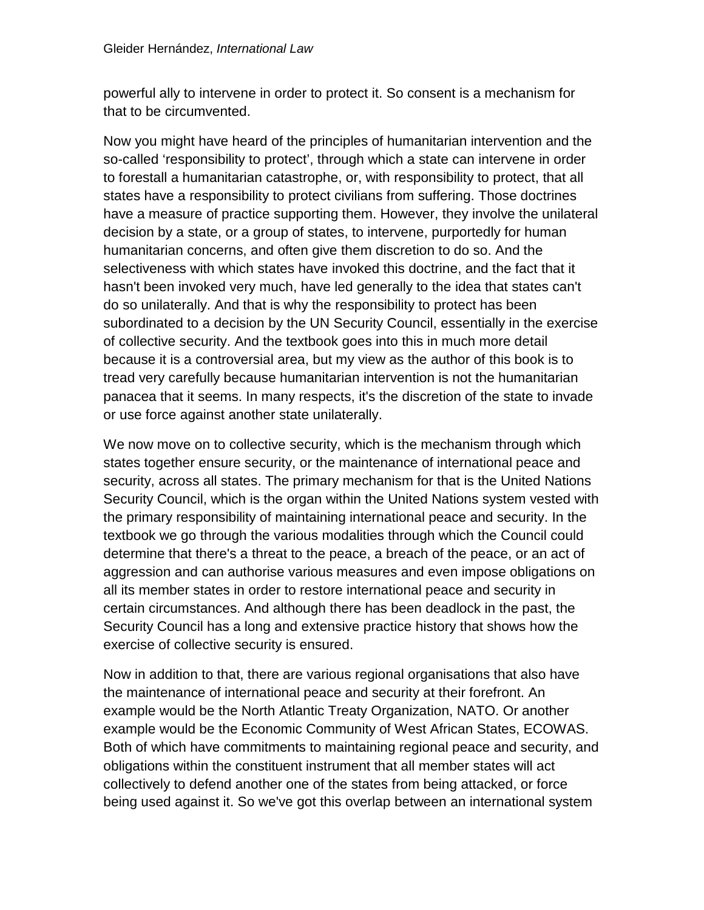powerful ally to intervene in order to protect it. So consent is a mechanism for that to be circumvented.

Now you might have heard of the principles of humanitarian intervention and the so-called 'responsibility to protect', through which a state can intervene in order to forestall a humanitarian catastrophe, or, with responsibility to protect, that all states have a responsibility to protect civilians from suffering. Those doctrines have a measure of practice supporting them. However, they involve the unilateral decision by a state, or a group of states, to intervene, purportedly for human humanitarian concerns, and often give them discretion to do so. And the selectiveness with which states have invoked this doctrine, and the fact that it hasn't been invoked very much, have led generally to the idea that states can't do so unilaterally. And that is why the responsibility to protect has been subordinated to a decision by the UN Security Council, essentially in the exercise of collective security. And the textbook goes into this in much more detail because it is a controversial area, but my view as the author of this book is to tread very carefully because humanitarian intervention is not the humanitarian panacea that it seems. In many respects, it's the discretion of the state to invade or use force against another state unilaterally.

We now move on to collective security, which is the mechanism through which states together ensure security, or the maintenance of international peace and security, across all states. The primary mechanism for that is the United Nations Security Council, which is the organ within the United Nations system vested with the primary responsibility of maintaining international peace and security. In the textbook we go through the various modalities through which the Council could determine that there's a threat to the peace, a breach of the peace, or an act of aggression and can authorise various measures and even impose obligations on all its member states in order to restore international peace and security in certain circumstances. And although there has been deadlock in the past, the Security Council has a long and extensive practice history that shows how the exercise of collective security is ensured.

Now in addition to that, there are various regional organisations that also have the maintenance of international peace and security at their forefront. An example would be the North Atlantic Treaty Organization, NATO. Or another example would be the Economic Community of West African States, ECOWAS. Both of which have commitments to maintaining regional peace and security, and obligations within the constituent instrument that all member states will act collectively to defend another one of the states from being attacked, or force being used against it. So we've got this overlap between an international system